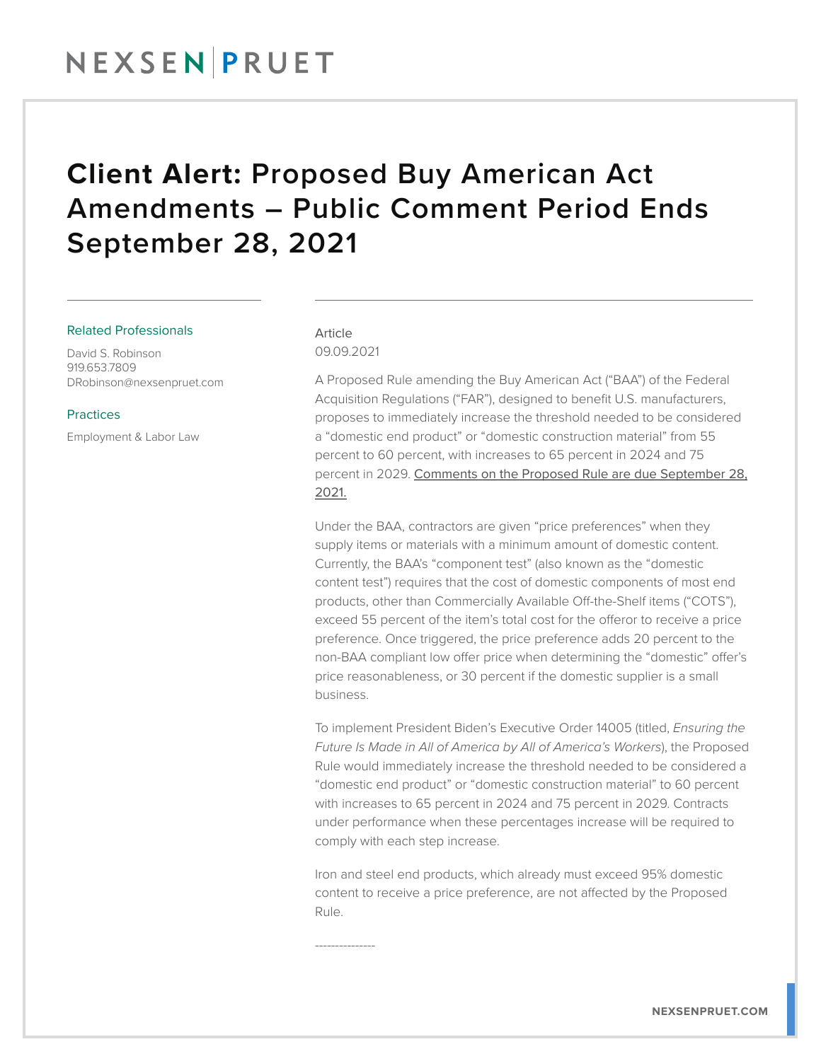## **Client Alert:** Proposed Buy American Act Amendments – Public Comment Period Ends September 28, 2021

#### Related Professionals

David S. Robinson 919.653.7809 DRobinson@nexsenpruet.com

#### **Practices**

Employment & Labor Law

### Article 09.09.2021

---------------

A Proposed Rule amending the Buy American Act ("BAA") of the Federal Acquisition Regulations ("FAR"), designed to benefit U.S. manufacturers, proposes to immediately increase the threshold needed to be considered a "domestic end product" or "domestic construction material" from 55 percent to 60 percent, with increases to 65 percent in 2024 and 75 percent in 2029. Comments on the Proposed Rule are due September 28, 2021.

Under the BAA, contractors are given "price preferences" when they supply items or materials with a minimum amount of domestic content. Currently, the BAA's "component test" (also known as the "domestic content test") requires that the cost of domestic components of most end products, other than Commercially Available Off-the-Shelf items ("COTS"), exceed 55 percent of the item's total cost for the offeror to receive a price preference. Once triggered, the price preference adds 20 percent to the non-BAA compliant low offer price when determining the "domestic" offer's price reasonableness, or 30 percent if the domestic supplier is a small business.

To implement President Biden's Executive Order 14005 (titled, *Ensuring the Future Is Made in All of America by All of America's Workers*), the Proposed Rule would immediately increase the threshold needed to be considered a "domestic end product" or "domestic construction material" to 60 percent with increases to 65 percent in 2024 and 75 percent in 2029. Contracts under performance when these percentages increase will be required to comply with each step increase.

Iron and steel end products, which already must exceed 95% domestic content to receive a price preference, are not affected by the Proposed Rule.